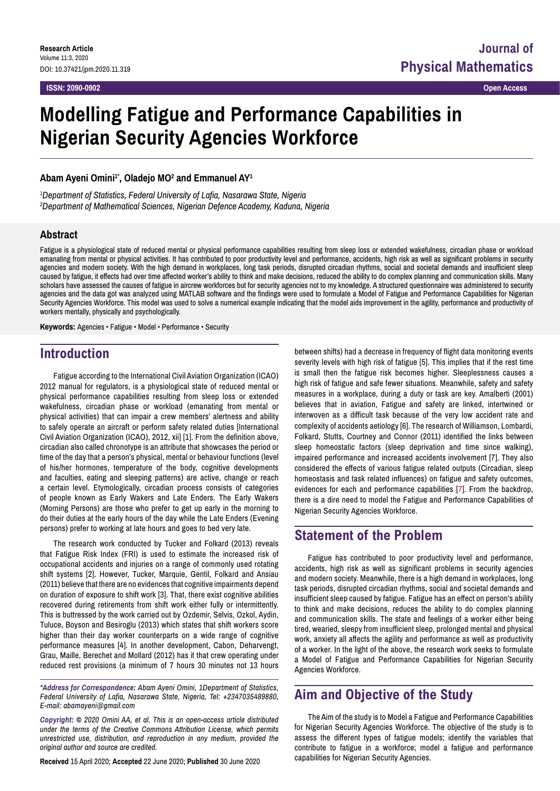**ISSN: 2090-0902 Open Access**

# **Modelling Fatigue and Performance Capabilities in Nigerian Security Agencies Workforce**

### **Abam Ayeni Omini1\*, Oladejo MO2 and Emmanuel AY1**

*1 Department of Statistics, Federal University of Lafia, Nasarawa State, Nigeria 2 Department of Mathematical Sciences, Nigerian Defence Academy, Kaduna, Nigeria*

### **Abstract**

Fatigue is a physiological state of reduced mental or physical performance capabilities resulting from sleep loss or extended wakefulness, circadian phase or workload emanating from mental or physical activities. It has contributed to poor productivity level and performance, accidents, high risk as well as significant problems in security agencies and modern society. With the high demand in workplaces, long task periods, disrupted circadian rhythms, social and societal demands and insufficient sleep caused by fatigue, it effects had over time affected worker's ability to think and make decisions, reduced the ability to do complex planning and communication skills. Many scholars have assessed the causes of fatigue in aircrew workforces but for security agencies not to my knowledge. A structured questionnaire was administered to security agencies and the data got was analyzed using MATLAB software and the findings were used to formulate a Model of Fatigue and Performance Capabilities for Nigerian Security Agencies Workforce. This model was used to solve a numerical example indicating that the model aids improvement in the agility, performance and productivity of workers mentally, physically and psychologically.

**Keywords:** Agencies • Fatigue • Model • Performance • Security

### **Introduction**

Fatigue according to the International Civil Aviation Organization (ICAO) 2012 manual for regulators, is a physiological state of reduced mental or physical performance capabilities resulting from sleep loss or extended wakefulness, circadian phase or workload (emanating from mental or physical activities) that can impair a crew members' alertness and ability to safely operate an aircraft or perform safety related duties [International Civil Aviation Organization (ICAO), 2012, xii] [1]. From the definition above, circadian also called chronotype is an attribute that showcases the period or time of the day that a person's physical, mental or behaviour functions (level of his/her hormones, temperature of the body, cognitive developments and faculties, eating and sleeping patterns) are active, change or reach a certain level. Etymologically, circadian process consists of categories of people known as Early Wakers and Late Enders. The Early Wakers (Morning Persons) are those who prefer to get up early in the morning to do their duties at the early hours of the day while the Late Enders (Evening persons) prefer to working at late hours and goes to bed very late.

The research work conducted by Tucker and Folkard (2013) reveals that Fatigue Risk Index (FRI) is used to estimate the increased risk of occupational accidents and injuries on a range of commonly used rotating shift systems [2]. However, Tucker, Marquie, Gentil, Folkard and Ansiau (2011) believe that there are no evidences that cognitive impairments depend on duration of exposure to shift work [3]. That, there exist cognitive abilities recovered during retirements from shift work either fully or intermittently. This is buttressed by the work carried out by Ozdemir, Selvis, Ozkol, Aydin, Tuluce, Boyson and Besiroglu (2013) which states that shift workers score higher than their day worker counterparts on a wide range of cognitive performance measures [4]. In another development, Cabon, Deharvengt, Grau, Maille, Berechet and Mollard (2012) has it that crew operating under reduced rest provisions (a minimum of 7 hours 30 minutes not 13 hours

*\*Address for Correspondence: Abam Ayeni Omini, 1Department of Statistics, Federal University of Lafia, Nasarawa State, Nigeria, Tel: +2347035489880, E-mail: [abamayeni@gmail.com](mailto:abamayeni@gmail.com)* 

*Copyright: © 2020 Omini AA, et al. This is an open-access article distributed under the terms of the Creative Commons Attribution License, which permits unrestricted use, distribution, and reproduction in any medium, provided the original author and source are credited.*

**Received** 15 April 2020; **Accepted** 22 June 2020; **Published** 30 June 2020

between shifts) had a decrease in frequency of flight data monitoring events severity levels with high risk of fatigue [5]. This implies that if the rest time is small then the fatigue risk becomes higher. Sleeplessness causes a high risk of fatigue and safe fewer situations. Meanwhile, safety and safety measures in a workplace, during a duty or task are key. Amalberti (2001) believes that in aviation, Fatigue and safety are linked, intertwined or interwoven as a difficult task because of the very low accident rate and complexity of accidents aetiology [6]. The research of Williamson, Lombardi, Folkard, Stutts, Courtney and Connor (2011) identified the links between sleep homeostatic factors (sleep deprivation and time since walking), impaired performance and increased accidents involvement [7]. They also considered the effects of various fatigue related outputs (Circadian, sleep homeostasis and task related influences) on fatigue and safety outcomes, evidences for each and performance capabilities [7]. From the backdrop, there is a dire need to model the Fatigue and Performance Capabilities of Nigerian Security Agencies Workforce.

### **Statement of the Problem**

Fatigue has contributed to poor productivity level and performance, accidents, high risk as well as significant problems in security agencies and modern society. Meanwhile, there is a high demand in workplaces, long task periods, disrupted circadian rhythms, social and societal demands and insufficient sleep caused by fatigue. Fatigue has an effect on person's ability to think and make decisions, reduces the ability to do complex planning and communication skills. The state and feelings of a worker either being tired, wearied, sleepy from insufficient sleep, prolonged mental and physical work, anxiety all affects the agility and performance as well as productivity of a worker. In the light of the above, the research work seeks to formulate a Model of Fatigue and Performance Capabilities for Nigerian Security Agencies Workforce.

### **Aim and Objective of the Study**

The Aim of the study is to Model a Fatigue and Performance Capabilities for Nigerian Security Agencies Workforce. The objective of the study is to assess the different types of fatigue models; identify the variables that contribute to fatigue in a workforce; model a fatigue and performance capabilities for Nigerian Security Agencies.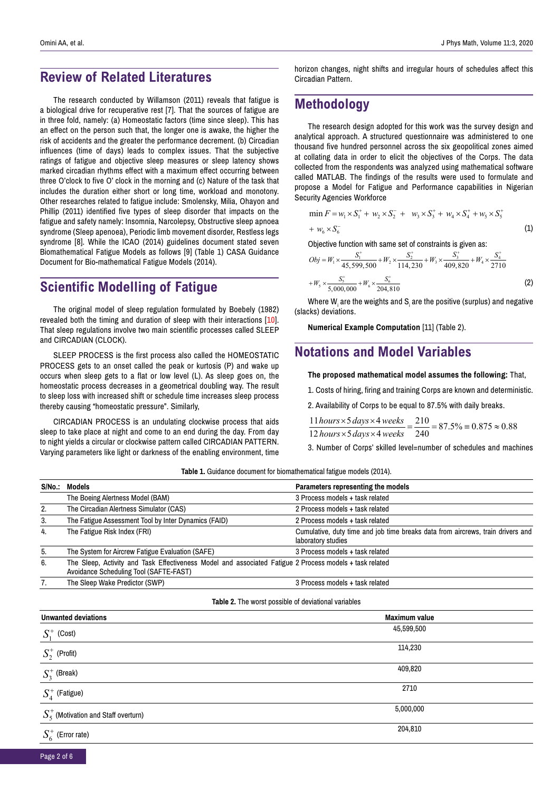### **Review of Related Literatures**

The research conducted by Willamson (2011) reveals that fatigue is a biological drive for recuperative rest [7]. That the sources of fatigue are in three fold, namely: (a) Homeostatic factors (time since sleep). This has an effect on the person such that, the longer one is awake, the higher the risk of accidents and the greater the performance decrement. (b) Circadian influences (time of days) leads to complex issues. That the subjective ratings of fatigue and objective sleep measures or sleep latency shows marked circadian rhythms effect with a maximum effect occurring between three O'clock to five O' clock in the morning and (c) Nature of the task that includes the duration either short or long time, workload and monotony. Other researches related to fatigue include: Smolensky, Milia, Ohayon and Phillip (2011) identified five types of sleep disorder that impacts on the fatigue and safety namely: Insomnia, Narcolepsy, Obstructive sleep apnoea syndrome (Sleep apenoea), Periodic limb movement disorder, Restless legs syndrome [8]. While the ICAO (2014) guidelines document stated seven Biomathematical Fatigue Models as follows [9] (Table 1) CASA Guidance Document for Bio-mathematical Fatigue Models (2014).

# **Scientific Modelling of Fatigue**

The original model of sleep regulation formulated by Boebely (1982) revealed both the timing and duration of sleep with their interactions [10]. That sleep regulations involve two main scientific processes called SLEEP and CIRCADIAN (CLOCK).

SLEEP PROCESS is the first process also called the HOMEOSTATIC PROCESS gets to an onset called the peak or kurtosis (P) and wake up occurs when sleep gets to a flat or low level (L). As sleep goes on, the homeostatic process decreases in a geometrical doubling way. The result to sleep loss with increased shift or schedule time increases sleep process thereby causing "homeostatic pressure". Similarly,

CIRCADIAN PROCESS is an undulating clockwise process that aids sleep to take place at night and come to an end during the day. From day to night yields a circular or clockwise pattern called CIRCADIAN PATTERN. Varying parameters like light or darkness of the enabling environment, time horizon changes, night shifts and irregular hours of schedules affect this Circadian Pattern.

## **Methodology**

The research design adopted for this work was the survey design and analytical approach. A structured questionnaire was administered to one thousand five hundred personnel across the six geopolitical zones aimed at collating data in order to elicit the objectives of the Corps. The data collected from the respondents was analyzed using mathematical software called MATLAB. The findings of the results were used to formulate and propose a Model for Fatigue and Performance capabilities in Nigerian Security Agencies Workforce

$$
\min F = w_1 \times S_1^+ + w_2 \times S_2^- + w_3 \times S_3^+ + w_4 \times S_4^+ + w_5 \times S_5^+
$$

$$
+ w_6 \times S_6^- \tag{1}
$$

Objective function with same set of constraints is given as:

$$
Obj = W_1 \times \frac{S_1^+}{45,599,500} + W_2 \times \frac{S_2^+}{114,230} + W_3 \times \frac{S_3^+}{409,820} + W_4 \times \frac{S_4^+}{2710}
$$
  
+ $W_5 \times \frac{S_5^+}{5,000,000} + W_6 \times \frac{S_6^+}{204,810}$  (2)

Where W $_{\sf i}$  are the weights and S $_{\sf i}$  are the positive (surplus) and negative (slacks) deviations.

**Numerical Example Computation** [11] (Table 2).

### **Notations and Model Variables**

**The proposed mathematical model assumes the following:** That,

1. Costs of hiring, firing and training Corps are known and deterministic.

2. Availability of Corps to be equal to 87.5% with daily breaks.

 $\frac{11 \text{ hours} \times 5 \text{ days} \times 4 \text{ weeks}}{12 \text{ hours} \times 5 \text{ days} \times 4 \text{ weeks}} = \frac{210}{240} = 87.5\% = 0.875 \approx 0.88$  $hours \times 5 \, days \times 4 \, weeks$  $hours \times 5 \, days \times 4 \, weeks}{hours \times 5 \, days \times 4 \, weeks} = \frac{210}{240} = 87.5\% = 0.875 \approx$ 

3. Number of Corps' skilled level=number of schedules and machines

**Table 1.** Guidance document for biomathematical fatigue models (2014).

|    | S/No.: Models                                                                                                                                     | Parameters representing the models                                                                    |
|----|---------------------------------------------------------------------------------------------------------------------------------------------------|-------------------------------------------------------------------------------------------------------|
|    | The Boeing Alertness Model (BAM)                                                                                                                  | 3 Process models + task related                                                                       |
| 2. | The Circadian Alertness Simulator (CAS)                                                                                                           | 2 Process models + task related                                                                       |
| 3. | The Fatigue Assessment Tool by Inter Dynamics (FAID)                                                                                              | 2 Process models + task related                                                                       |
| 4. | The Fatigue Risk Index (FRI)                                                                                                                      | Cumulative, duty time and job time breaks data from aircrews, train drivers and<br>laboratory studies |
| 5. | The System for Aircrew Fatigue Evaluation (SAFE)                                                                                                  | 3 Process models + task related                                                                       |
| 6. | The Sleep, Activity and Task Effectiveness Model and associated Fatigue 2 Process models + task related<br>Avoidance Scheduling Tool (SAFTE-FAST) |                                                                                                       |
| 7. | The Sleep Wake Predictor (SWP)                                                                                                                    | 3 Process models + task related                                                                       |

#### **Table 2.** The worst possible of deviational variables

| <b>Unwanted deviations</b>              | <b>Maximum value</b> |  |  |  |
|-----------------------------------------|----------------------|--|--|--|
| $S_1^+$<br>(Cost)                       | 45,599,500           |  |  |  |
| $S_2^+$ (Profit)                        | 114,230              |  |  |  |
| $S_3^+$ (Break)                         | 409,820              |  |  |  |
| $S_4^+$ (Fatigue)                       | 2710                 |  |  |  |
| $S_5^+$ (Motivation and Staff overturn) | 5,000,000            |  |  |  |
| $S_6^+$ (Error rate)                    | 204,810              |  |  |  |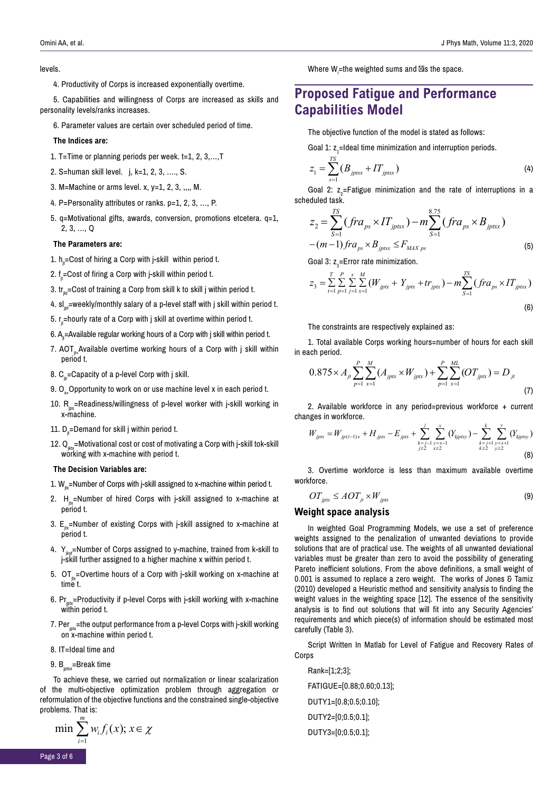#### levels.

4. Productivity of Corps is increased exponentially overtime.

5. Capabilities and willingness of Corps are increased as skills and personality levels/ranks increases.

6. Parameter values are certain over scheduled period of time.

#### **The Indices are:**

- 1. T=Time or planning periods per week. t=1, 2, 3,…,T
- 2. S=human skill level. j, k=1, 2, 3, …., S.
- 3. M=Machine or arms level. x,  $y=1$ , 2, 3, ,,,, M.
- 4. P=Personality attributes or ranks. p=1, 2, 3, …, P.
- 5. q=Motivational gifts, awards, conversion, promotions etcetera. q=1, 2, 3, …, Q

#### **The Parameters are:**

- 1.  $h_{\text{in}}$ =Cost of hiring a Corp with j-skill within period t.
- 2.  $f_n = Cost$  of firing a Corp with j-skill within period t.
- 3.  $tr_{i,t}$ =Cost of training a Corp from skill k to skill j within period t.
- 4.  $sl_{int}$ =weekly/monthly salary of a p-level staff with j skill within period t.
- 5.  $r_n$ =hourly rate of a Corp with j skill at overtime within period t.
- 6.  $A_n$ =Available regular working hours of a Corp with j skill within period t.
- 7. AOT<sub>s-</sub>Available overtime working hours of a Corp with j skill within period t.
- 8.  $C_{n}$ =Capacity of a p-level Corp with j skill.
- 9. O<sub>y</sub> Opportunity to work on or use machine level x in each period t.
- 10.  $R_{\text{inx}}$ =Readiness/willingness of p-level worker with j-skill working in x-machine.
- 11.  $D_n$ =Demand for skill j within period t.
- 12.  $Q_{i}$ =Motivational cost or cost of motivating a Corp with j-skill tok-skill working with x-machine with period t.

#### **The Decision Variables are:**

1.  $W_{\mu}$ =Number of Corps with j-skill assigned to x-machine within period t.

- 2.  $H_{in}$ =Number of hired Corps with j-skill assigned to x-machine at period t.
- 3.  $E_{\mu}$ =Number of existing Corps with j-skill assigned to x-machine at period t.
- 4.  $Y_{iwt}$ =Number of Corps assigned to y-machine, trained from k-skill to j-skill further assigned to a higher machine x within period t.
- 5. OT $_{\text{iv}}$ =Overtime hours of a Corp with j-skill working on x-machine at time t.
- 6.  $Pr_{intr}$ =Productivity if p-level Corps with j-skill working with x-machine within period t.
- 7. Per $m =$ the output performance from a p-level Corps with j-skill working on x-machine within period t.
- 8. IT=Ideal time and
- 9.  $B<sub>intsx</sub>=Break time$

*m*

To achieve these, we carried out normalization or linear scalarization of the multi-objective optimization problem through aggregation or reformulation of the objective functions and the constrained single-objective problems. That is:

$$
\min \sum_{i=1} w_i f_i(x); x \in \chi
$$

Where  $W_i$ =the weighted sums and is the space.

### **Proposed Fatigue and Performance Capabilities Model**

The objective function of the model is stated as follows:

Goal 1:  $z_1$ =Ideal time minimization and interruption periods.

$$
z_1 = \sum_{s=1}^{TS} (B_{jptsx} + IT_{jptsx})
$$
 (4)

Goal 2:  $z_{2}$ =Fatigue minimization and the rate of interruptions in a scheduled task.

$$
z_{2} = \sum_{S=1}^{TS} (fra_{ps} \times IT_{jptsx}) - m \sum_{S=1}^{8.75} (fra_{ps} \times B_{jptsx}) - (m-1) fra_{ps} \times B_{jptsx} \leq F_{MAX\,ps}
$$
\n(5)

8.75

Goal 3:  $z<sub>3</sub>$ =Error rate minimization.

$$
z_{3} = \sum_{t=1}^{T} \sum_{p=1}^{P} \sum_{j=1}^{S} \sum_{x=1}^{M} (W_{jptx} + Y_{jptx} + tr_{jptx}) - m \sum_{S=1}^{TS} (fra_{ps} \times IT_{jptsx})
$$
\n(6)

The constraints are respectively explained as:

1. Total available Corps working hours=number of hours for each skill in each period.

$$
0.875 \times A_{jt} \sum_{p=1}^{P} \sum_{x=1}^{M} (A_{jpx} \times W_{jpx}) + \sum_{p=1}^{P} \sum_{x=1}^{ML} (OT_{jpx}) = D_{jt}
$$
\n(7)

2. Available workforce in any period=previous workforce + current changes in workforce.

$$
W_{jptx} = W_{jp(t-1)x} + H_{jptx} - E_{jptx} + \sum_{\substack{k=j-1 \ y=x-1 \ j \ge 2}}^{j} \sum_{\substack{y=x-1 \ x \ge 2}}^{x} (Y_{kjptxy}) - \sum_{\substack{k=j+1 \ y=x+1 \ k \ge 2}}^{k} \sum_{\substack{y=x+1 \ y \ge 2}}^{y} (Y_{kjptxy})
$$
(8)

3. Overtime workforce is less than maximum available overtime workforce.

$$
OT_{jptx} \le AOT_{jt} \times W_{jptx} \tag{9}
$$

### **Weight space analysis**

In weighted Goal Programming Models, we use a set of preference weights assigned to the penalization of unwanted deviations to provide solutions that are of practical use. The weights of all unwanted deviational variables must be greater than zero to avoid the possibility of generating Pareto inefficient solutions. From the above definitions, a small weight of 0.001 is assumed to replace a zero weight. The works of Jones & Tamiz (2010) developed a Heuristic method and sensitivity analysis to finding the weight values in the weighting space [12]. The essence of the sensitivity analysis is to find out solutions that will fit into any Security Agencies' requirements and which piece(s) of information should be estimated most carefully (Table 3).

Script Written In Matlab for Level of Fatigue and Recovery Rates of **Corps** 

Rank=[1;2;3]; FATIGUE=[0.88;0.60;0.13]; DUTY1=[0.8;0.5;0.10]; DUTY2=[0;0.5;0.1]; DUTY3=[0;0.5;0.1];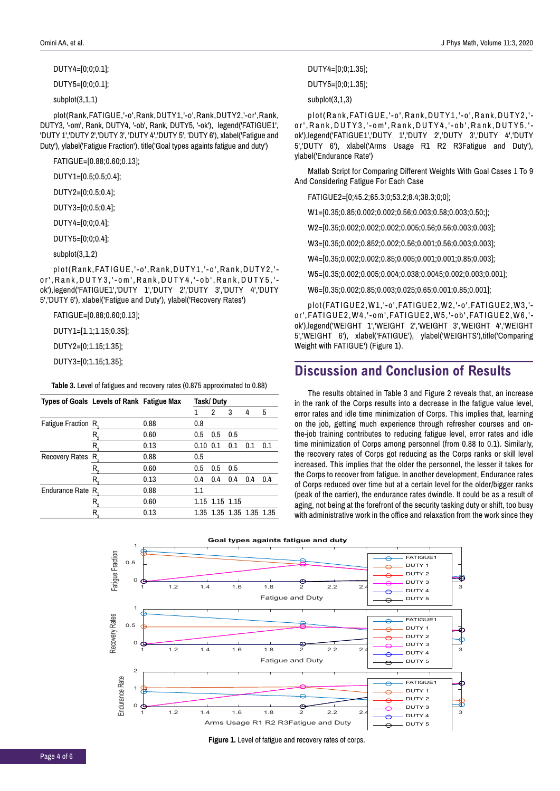#### DUTY4=[0;0;0.1];

DUTY5=[0;0;0.1];

subplot(3,1,1)

plot(Rank,FATIGUE,'-o',Rank,DUTY1,'-o',Rank,DUTY2,'-or',Rank, DUTY3, '-om', Rank, DUTY4, '-ob', Rank, DUTY5, '-ok'), legend('FATIGUE1', 'DUTY 1','DUTY 2','DUTY 3', 'DUTY 4','DUTY 5', 'DUTY 6'), xlabel('Fatigue and Duty'), ylabel('Fatigue Fraction'), title('Goal types againts fatigue and duty')

FATIGUE=[0.88;0.60;0.13];

- DUTY1=[0.5;0.5;0.4];
- DUTY2=[0;0.5;0.4];
- DUTY3=[0;0.5;0.4];
- DUTY4=[0;0;0.4];
- DUTY5=[0;0;0.4];

subplot(3,1,2)

plot(Rank,FATIGUE,'-o',Rank,DUTY1,'-o',Rank,DUTY2,' or',Rank,DUTY3,'-om',Rank,DUTY4,'-ob',Rank,DUTY5,' ok'),legend('FATIGUE1','DUTY 1','DUTY 2','DUTY 3','DUTY 4','DUTY 5','DUTY 6'), xlabel('Fatigue and Duty'), ylabel('Recovery Rates')

FATIGUE=[0.88;0.60;0.13];

DUTY1=[1.1;1.15;0.35];

DUTY2=[0;1.15;1.35];

DUTY3=[0;1.15;1.35];

**Table 3.** Level of fatigues and recovery rates (0.875 approximated to 0.88)

|                     | Types of Goals Levels of Rank Fatigue Max |      | Task/Duty    |                |                          |     |     |  |
|---------------------|-------------------------------------------|------|--------------|----------------|--------------------------|-----|-----|--|
|                     |                                           |      |              | 2              | 3                        | 4   | 5   |  |
| Fatigue Fraction R, |                                           | 0.88 | 0.8          |                |                          |     |     |  |
|                     |                                           | 0.60 | 0.5          | 0.5            | 0.5                      |     |     |  |
|                     | R.                                        | 0.13 | $0.10 \ 0.1$ |                | 0.1                      | 0.1 | 0.1 |  |
| Recovery Rates R.   |                                           | 0.88 | 0.5          |                |                          |     |     |  |
|                     |                                           | 0.60 | 0.5          | 0.5            | 0.5                      |     |     |  |
|                     | R.                                        | 0.13 | 0.4          | 0.4            | 0.4                      | 0.4 | 0.4 |  |
| Endurance Rate R.   |                                           | 0.88 | 1.1          |                |                          |     |     |  |
|                     |                                           | 0.60 |              | 1.15 1.15 1.15 |                          |     |     |  |
|                     | R.                                        | 0.13 |              |                | 1.35 1.35 1.35 1.35 1.35 |     |     |  |
|                     |                                           |      |              |                |                          |     |     |  |

DUTY4=[0;0;1.35];

DUTY5=[0;0;1.35];

#### subplot(3,1,3)

plot(Rank,FATIGUE,'-o',Rank,DUTY1,'-o',Rank,DUTY2,' or',Rank,DUTY3,'-om',Rank,DUTY4,'-ob',Rank,DUTY5,' ok'),legend('FATIGUE1','DUTY 1','DUTY 2','DUTY 3','DUTY 4','DUTY 5','DUTY 6'), xlabel('Arms Usage R1 R2 R3Fatigue and Duty'), ylabel('Endurance Rate')

Matlab Script for Comparing Different Weights With Goal Cases 1 To 9 And Considering Fatigue For Each Case

FATIGUE2=[0;45.2;65.3;0;53.2;8.4;38.3;0;0];

W1=[0.35;0.85;0.002;0.002;0.56;0.003;0.58;0.003;0.50;];

W2=[0.35;0.002;0.002;0.002;0.005;0.56;0.56;0.003;0.003];

W3=[0.35;0.002;0.852;0.002;0.56;0.001;0.56;0.003;0.003];

W4=[0.35;0.002;0.002;0.85;0.005;0.001;0.001;0.85;0.003];

W5=[0.35;0.002;0.005;0.004;0.038;0.0045;0.002;0.003;0.001];

W6=[0.35;0.002;0.85;0.003;0.025;0.65;0.001;0.85;0.001];

plot(FATIGUE2,W1,'-o',FATIGUE2,W2,'-o',FATIGUE2,W3,' or',FATIGUE2,W4,'-om',FATIGUE2,W5,'-ob',FATIGUE2,W6,' ok'),legend('WEIGHT 1','WEIGHT 2','WEIGHT 3','WEIGHT 4','WEIGHT 5','WEIGHT 6'), xlabel('FATIGUE'), ylabel('WEIGHTS'),title('Comparing Weight with FATIGUE') (Figure 1).

### **Discussion and Conclusion of Results**

The results obtained in Table 3 and Figure 2 reveals that, an increase in the rank of the Corps results into a decrease in the fatigue value level, error rates and idle time minimization of Corps. This implies that, learning on the job, getting much experience through refresher courses and onthe-job training contributes to reducing fatigue level, error rates and idle time minimization of Corps among personnel (from 0.88 to 0.1). Similarly, the recovery rates of Corps got reducing as the Corps ranks or skill level increased. This implies that the older the personnel, the lesser it takes for the Corps to recover from fatigue. In another development, Endurance rates of Corps reduced over time but at a certain level for the older/bigger ranks (peak of the carrier), the endurance rates dwindle. It could be as a result of aging, not being at the forefront of the security tasking duty or shift, too busy with administrative work in the office and relaxation from the work since they



**Figure 1.** Level of fatigue and recovery rates of corps.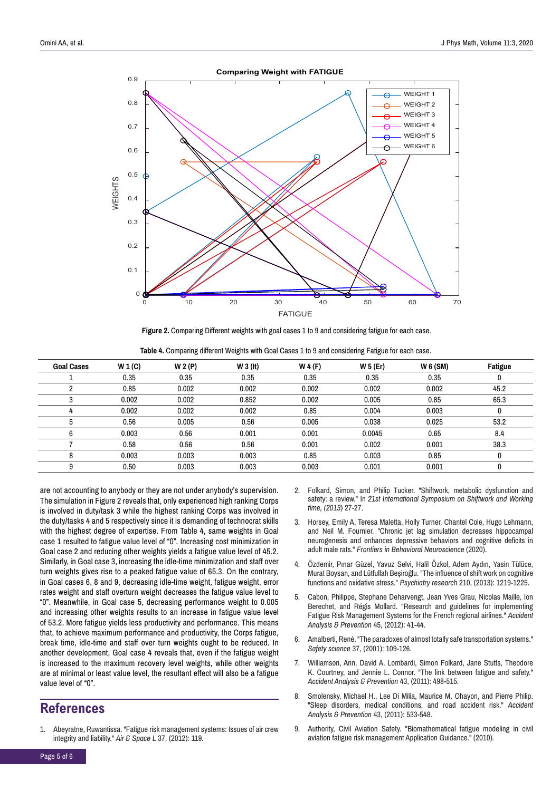

**Figure 2.** Comparing Different weights with goal cases 1 to 9 and considering fatigue for each case.

|  | Table 4. Comparing different Weights with Goal Cases 1 to 9 and considering Fatigue for each case. |  |  |  |  |  |  |  |  |  |  |
|--|----------------------------------------------------------------------------------------------------|--|--|--|--|--|--|--|--|--|--|
|--|----------------------------------------------------------------------------------------------------|--|--|--|--|--|--|--|--|--|--|

| <b>Goal Cases</b> | W 1(C) | W 2(P) | $W_3$ (It) | W 4(F) | W 5 (Er) | $W_6$ (SM) | <b>Fatigue</b> |
|-------------------|--------|--------|------------|--------|----------|------------|----------------|
|                   | 0.35   | 0.35   | 0.35       | 0.35   | 0.35     | 0.35       | U              |
|                   | 0.85   | 0.002  | 0.002      | 0.002  | 0.002    | 0.002      | 45.2           |
|                   | 0.002  | 0.002  | 0.852      | 0.002  | 0.005    | 0.85       | 65.3           |
|                   | 0.002  | 0.002  | 0.002      | 0.85   | 0.004    | 0.003      | 0              |
|                   | 0.56   | 0.005  | 0.56       | 0.005  | 0.038    | 0.025      | 53.2           |
| 6                 | 0.003  | 0.56   | 0.001      | 0.001  | 0.0045   | 0.65       | 8.4            |
|                   | 0.58   | 0.56   | 0.56       | 0.001  | 0.002    | 0.001      | 38.3           |
| 8                 | 0.003  | 0.003  | 0.003      | 0.85   | 0.003    | 0.85       | 0              |
| 9                 | 0.50   | 0.003  | 0.003      | 0.003  | 0.001    | 0.001      |                |

are not accounting to anybody or they are not under anybody's supervision. The simulation in Figure 2 reveals that, only experienced high ranking Corps is involved in duty/task 3 while the highest ranking Corps was involved in the duty/tasks 4 and 5 respectively since it is demanding of technocrat skills with the highest degree of expertise. From Table 4, same weights in Goal case 1 resulted to fatigue value level of "0". Increasing cost minimization in Goal case 2 and reducing other weights yields a fatigue value level of 45.2. Similarly, in Goal case 3, increasing the idle-time minimization and staff over turn weights gives rise to a peaked fatigue value of 65.3. On the contrary, in Goal cases 6, 8 and 9, decreasing idle-time weight, fatigue weight, error rates weight and staff overturn weight decreases the fatigue value level to "0". Meanwhile, in Goal case 5, decreasing performance weight to 0.005 and increasing other weights results to an increase in fatigue value level of 53.2. More fatigue yields less productivity and performance. This means that, to achieve maximum performance and productivity, the Corps fatigue, break time, idle-time and staff over turn weights ought to be reduced. In another development, Goal case 4 reveals that, even if the fatigue weight is increased to the maximum recovery level weights, while other weights are at minimal or least value level, the resultant effect will also be a fatigue value level of "0".

### **References**

1. Abeyratne, Ruwantissa. "Fatigue risk management systems: Issues of air crew integrity and liability." *Air & Space L* 37, (2012): 119.

- 2. Folkard, Simon, and Philip Tucker. "Shiftwork, metabolic dysfunction and safety: a review." In *21st International Symposium on Shiftwork and Working time, (2013*) 27-27.
- 3. Horsey, Emily A, Teresa Maletta, Holly Turner, Chantel Cole, Hugo Lehmann, and Neil M. Fournier. "Chronic jet lag simulation decreases hippocampal neurogenesis and enhances depressive behaviors and cognitive deficits in adult male rats." *Frontiers in Behavioral Neuroscience* (2020).
- 4. Özdemir, Pınar Güzel, Yavuz Selvi, Halil Özkol, Adem Aydın, Yasin Tülüce, Murat Boysan, and Lütfullah Beşiroğlu. "The influence of shift work on cognitive functions and oxidative stress." *Psychiatry research* 210, (2013): 1219-1225.
- 5. Cabon, Philippe, Stephane Deharvengt, Jean Yves Grau, Nicolas Maille, Ion Berechet, and Régis Mollard. "Research and guidelines for implementing Fatigue Risk Management Systems for the French regional airlines." *Accident Analysis & Prevention* 45, (2012): 41-44.
- 6. Amalberti, René. "The paradoxes of almost totally safe transportation systems." *Safety science* 37, (2001): 109-126.
- 7. Williamson, Ann, David A. Lombardi, Simon Folkard, Jane Stutts, Theodore K. Courtney, and Jennie L. Connor. "The link between fatigue and safety." *Accident Analysis & Prevention* 43, (2011): 498-515.
- 8. Smolensky, Michael H., Lee Di Milia, Maurice M. Ohayon, and Pierre Philip. "Sleep disorders, medical conditions, and road accident risk." *Accident Analysis & Prevention* 43, (2011): 533-548.
- 9. Authority, Civil Aviation Safety. "Biomathematical fatigue modeling in civil aviation fatigue risk management Application Guidance." (2010).